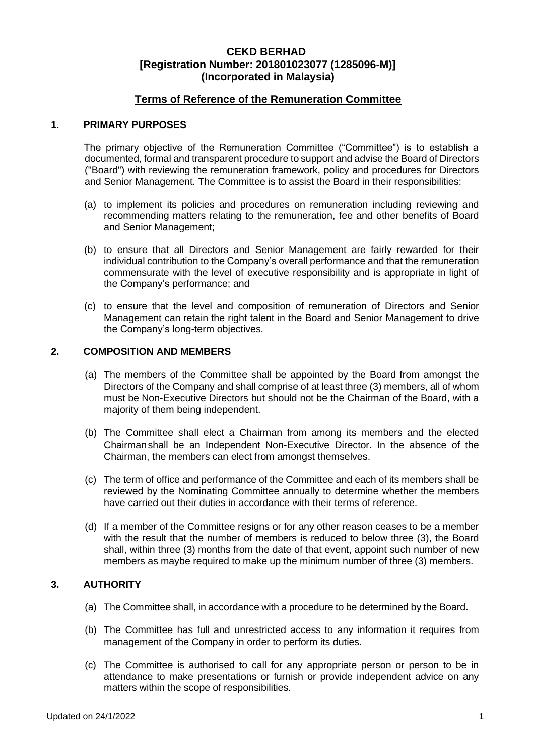# **Terms of Reference of the Remuneration Committee**

#### **1. PRIMARY PURPOSES**

The primary objective of the Remuneration Committee ("Committee") is to establish a documented, formal and transparent procedure to support and advise the Board of Directors ("Board") with reviewing the remuneration framework, policy and procedures for Directors and Senior Management. The Committee is to assist the Board in their responsibilities:

- (a) to implement its policies and procedures on remuneration including reviewing and recommending matters relating to the remuneration, fee and other benefits of Board and Senior Management;
- (b) to ensure that all Directors and Senior Management are fairly rewarded for their individual contribution to the Company's overall performance and that the remuneration commensurate with the level of executive responsibility and is appropriate in light of the Company's performance; and
- (c) to ensure that the level and composition of remuneration of Directors and Senior Management can retain the right talent in the Board and Senior Management to drive the Company's long-term objectives.

#### **2. COMPOSITION AND MEMBERS**

- (a) The members of the Committee shall be appointed by the Board from amongst the Directors of the Company and shall comprise of at least three (3) members, all of whom must be Non-Executive Directors but should not be the Chairman of the Board, with a majority of them being independent.
- (b) The Committee shall elect a Chairman from among its members and the elected Chairmanshall be an Independent Non-Executive Director. In the absence of the Chairman, the members can elect from amongst themselves.
- (c) The term of office and performance of the Committee and each of its members shall be reviewed by the Nominating Committee annually to determine whether the members have carried out their duties in accordance with their terms of reference.
- (d) If a member of the Committee resigns or for any other reason ceases to be a member with the result that the number of members is reduced to below three (3), the Board shall, within three (3) months from the date of that event, appoint such number of new members as maybe required to make up the minimum number of three (3) members.

## **3. AUTHORITY**

- (a) The Committee shall, in accordance with a procedure to be determined by the Board.
- (b) The Committee has full and unrestricted access to any information it requires from management of the Company in order to perform its duties.
- (c) The Committee is authorised to call for any appropriate person or person to be in attendance to make presentations or furnish or provide independent advice on any matters within the scope of responsibilities.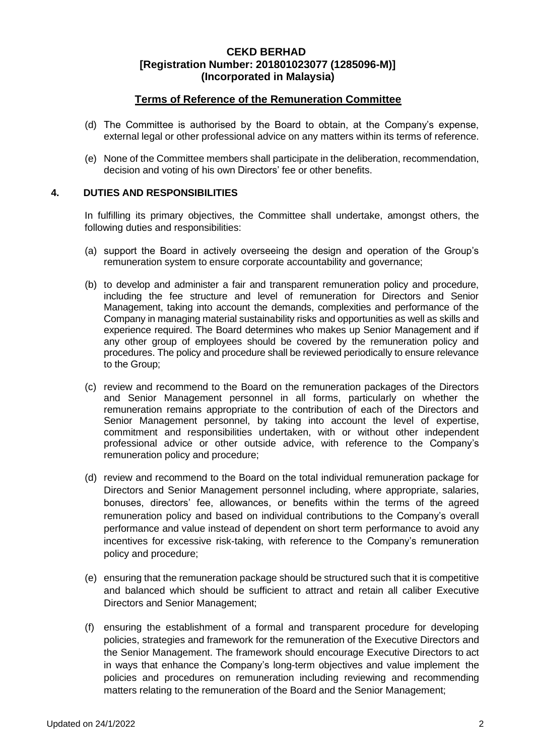## **Terms of Reference of the Remuneration Committee**

- (d) The Committee is authorised by the Board to obtain, at the Company's expense, external legal or other professional advice on any matters within its terms of reference.
- (e) None of the Committee members shall participate in the deliberation, recommendation, decision and voting of his own Directors' fee or other benefits.

### **4. DUTIES AND RESPONSIBILITIES**

In fulfilling its primary objectives, the Committee shall undertake, amongst others, the following duties and responsibilities:

- (a) support the Board in actively overseeing the design and operation of the Group's remuneration system to ensure corporate accountability and governance;
- (b) to develop and administer a fair and transparent remuneration policy and procedure, including the fee structure and level of remuneration for Directors and Senior Management, taking into account the demands, complexities and performance of the Company in managing material sustainability risks and opportunities as well as skills and experience required. The Board determines who makes up Senior Management and if any other group of employees should be covered by the remuneration policy and procedures. The policy and procedure shall be reviewed periodically to ensure relevance to the Group;
- (c) review and recommend to the Board on the remuneration packages of the Directors and Senior Management personnel in all forms, particularly on whether the remuneration remains appropriate to the contribution of each of the Directors and Senior Management personnel, by taking into account the level of expertise, commitment and responsibilities undertaken, with or without other independent professional advice or other outside advice, with reference to the Company's remuneration policy and procedure;
- (d) review and recommend to the Board on the total individual remuneration package for Directors and Senior Management personnel including, where appropriate, salaries, bonuses, directors' fee, allowances, or benefits within the terms of the agreed remuneration policy and based on individual contributions to the Company's overall performance and value instead of dependent on short term performance to avoid any incentives for excessive risk-taking, with reference to the Company's remuneration policy and procedure;
- (e) ensuring that the remuneration package should be structured such that it is competitive and balanced which should be sufficient to attract and retain all caliber Executive Directors and Senior Management;
- (f) ensuring the establishment of a formal and transparent procedure for developing policies, strategies and framework for the remuneration of the Executive Directors and the Senior Management. The framework should encourage Executive Directors to act in ways that enhance the Company's long-term objectives and value implement the policies and procedures on remuneration including reviewing and recommending matters relating to the remuneration of the Board and the Senior Management;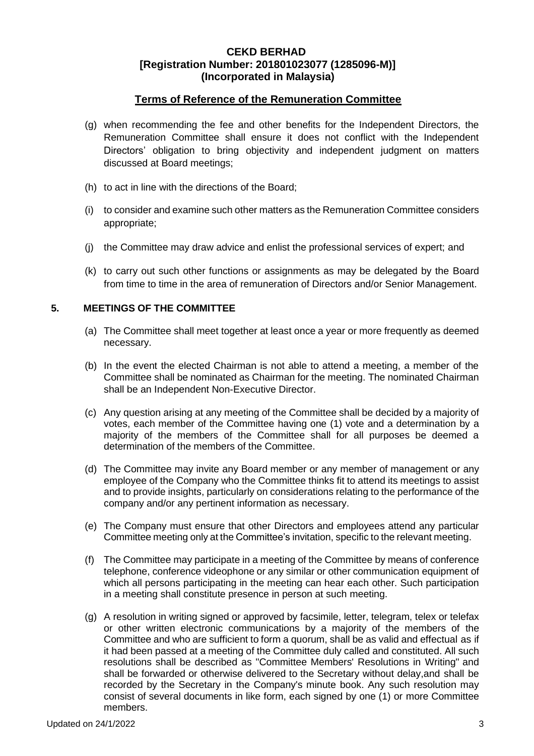# **Terms of Reference of the Remuneration Committee**

- (g) when recommending the fee and other benefits for the Independent Directors, the Remuneration Committee shall ensure it does not conflict with the Independent Directors' obligation to bring objectivity and independent judgment on matters discussed at Board meetings;
- (h) to act in line with the directions of the Board;
- (i) to consider and examine such other matters as the Remuneration Committee considers appropriate;
- (j) the Committee may draw advice and enlist the professional services of expert; and
- (k) to carry out such other functions or assignments as may be delegated by the Board from time to time in the area of remuneration of Directors and/or Senior Management.

## **5. MEETINGS OF THE COMMITTEE**

- (a) The Committee shall meet together at least once a year or more frequently as deemed necessary.
- (b) In the event the elected Chairman is not able to attend a meeting, a member of the Committee shall be nominated as Chairman for the meeting. The nominated Chairman shall be an Independent Non-Executive Director.
- (c) Any question arising at any meeting of the Committee shall be decided by a majority of votes, each member of the Committee having one (1) vote and a determination by a majority of the members of the Committee shall for all purposes be deemed a determination of the members of the Committee.
- (d) The Committee may invite any Board member or any member of management or any employee of the Company who the Committee thinks fit to attend its meetings to assist and to provide insights, particularly on considerations relating to the performance of the company and/or any pertinent information as necessary.
- (e) The Company must ensure that other Directors and employees attend any particular Committee meeting only at the Committee's invitation, specific to the relevant meeting.
- (f) The Committee may participate in a meeting of the Committee by means of conference telephone, conference videophone or any similar or other communication equipment of which all persons participating in the meeting can hear each other. Such participation in a meeting shall constitute presence in person at such meeting.
- (g) A resolution in writing signed or approved by facsimile, letter, telegram, telex or telefax or other written electronic communications by a majority of the members of the Committee and who are sufficient to form a quorum, shall be as valid and effectual as if it had been passed at a meeting of the Committee duly called and constituted. All such resolutions shall be described as "Committee Members' Resolutions in Writing" and shall be forwarded or otherwise delivered to the Secretary without delay,and shall be recorded by the Secretary in the Company's minute book. Any such resolution may consist of several documents in like form, each signed by one (1) or more Committee members.